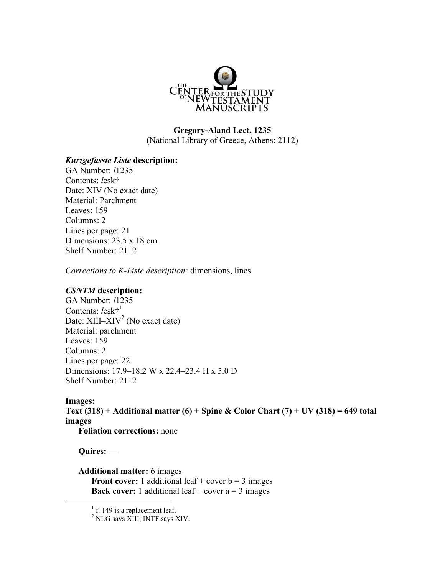

# **Gregory-Aland Lect. 1235** (National Library of Greece, Athens: 2112)

### *Kurzgefasste Liste* **description:**

GA Number: *l*1235 Contents: *l*esk† Date: XIV (No exact date) Material: Parchment Leaves: 159 Columns: 2 Lines per page: 21 Dimensions: 23.5 x 18 cm Shelf Number: 2112

*Corrections to K-Liste description:* dimensions, lines

#### *CSNTM* **description:**

GA Number: *l*1235 Contents: *l*esk†<sup>1</sup> Date:  $XIII- XIV<sup>2</sup>$  (No exact date) Material: parchment Leaves: 159 Columns: 2 Lines per page: 22 Dimensions: 17.9–18.2 W x 22.4–23.4 H x 5.0 D Shelf Number: 2112

# **Images:**

**Text (318) + Additional matter (6) + Spine & Color Chart (7) + UV (318) = 649 total images**

**Foliation corrections:** none

**Quires: —**

#### **Additional matter:** 6 images

**Front cover:** 1 additional leaf + cover  $b = 3$  images **Back cover:** 1 additional leaf + cover  $a = 3$  images

 $<sup>1</sup>$  f. 149 is a replacement leaf.</sup>

<sup>2</sup> NLG says XIII, INTF says XIV.